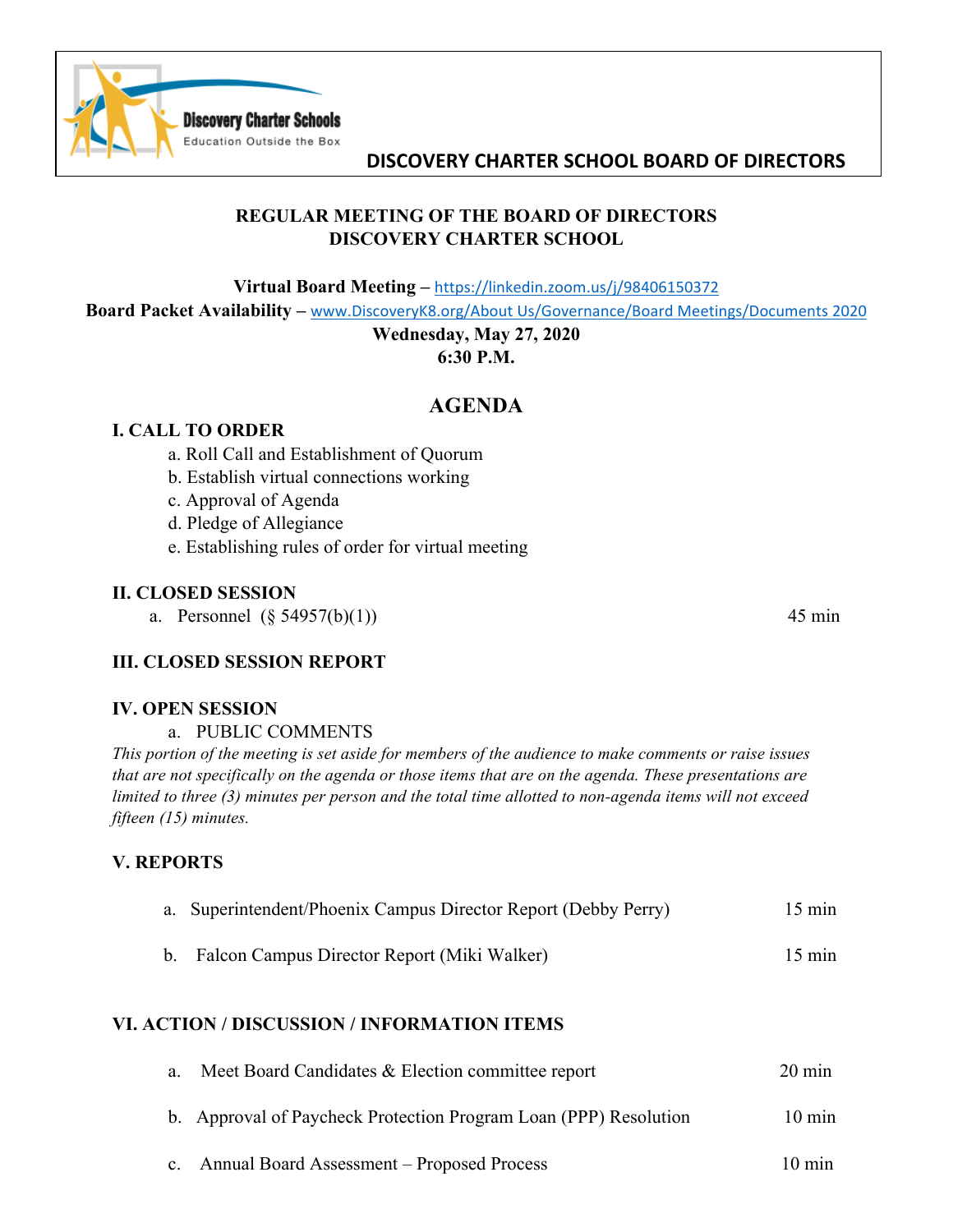

# **DISCOVERY CHARTER SCHOOL BOARD OF DIRECTORS**

## **REGULAR MEETING OF THE BOARD OF DIRECTORS DISCOVERY CHARTER SCHOOL**

**Virtual Board Meeting –** https://linkedin.zoom.us/j/98406150372

**Board Packet Availability –** www.DiscoveryK8.org/About Us/Governance/Board Meetings/Documents 2020

## **Wednesday, May 27, 2020 6:30 P.M.**

# **AGENDA**

## **I. CALL TO ORDER**

- a. Roll Call and Establishment of Quorum
- b. Establish virtual connections working
- c. Approval of Agenda
- d. Pledge of Allegiance
- e. Establishing rules of order for virtual meeting

#### **II. CLOSED SESSION**

a. Personnel  $(\S 54957(b)(1))$  45 min

## **III. CLOSED SESSION REPORT**

#### **IV. OPEN SESSION**

a. PUBLIC COMMENTS

*This portion of the meeting is set aside for members of the audience to make comments or raise issues that are not specifically on the agenda or those items that are on the agenda. These presentations are limited to three (3) minutes per person and the total time allotted to non-agenda items will not exceed fifteen (15) minutes.*

## **V. REPORTS**

|  | a. Superintendent/Phoenix Campus Director Report (Debby Perry) | $15 \text{ min}$ |
|--|----------------------------------------------------------------|------------------|
|--|----------------------------------------------------------------|------------------|

b. Falcon Campus Director Report (Miki Walker) 15 min

## **VI. ACTION / DISCUSSION / INFORMATION ITEMS**

| a. Meet Board Candidates $&$ Election committee report           | $20 \text{ min}$ |
|------------------------------------------------------------------|------------------|
| b. Approval of Paycheck Protection Program Loan (PPP) Resolution | $10 \text{ min}$ |
| Annual Board Assessment – Proposed Process                       | $10 \text{ min}$ |